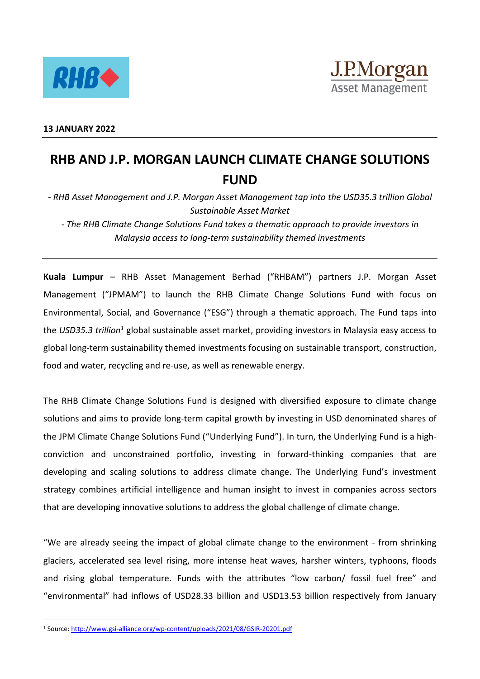

## **RHB AND J.P. MORGAN LAUNCH CLIMATE CHANGE SOLUTIONS FUND**

*- RHB Asset Management and J.P. Morgan Asset Management tap into the USD35.3 trillion Global Sustainable Asset Market*

*- The RHB Climate Change Solutions Fund takes a thematic approach to provide investors in Malaysia access to long-term sustainability themed investments*

**Kuala Lumpur** – RHB Asset Management Berhad ("RHBAM") partners J.P. Morgan Asset Management ("JPMAM") to launch the RHB Climate Change Solutions Fund with focus on Environmental, Social, and Governance ("ESG") through a thematic approach. The Fund taps into the *USD35.3 trillion<sup>1</sup>* global sustainable asset market, providing investors in Malaysia easy access to global long-term sustainability themed investments focusing on sustainable transport, construction, food and water, recycling and re-use, as well as renewable energy.

The RHB Climate Change Solutions Fund is designed with diversified exposure to climate change solutions and aims to provide long-term capital growth by investing in USD denominated shares of the JPM Climate Change Solutions Fund ("Underlying Fund"). In turn, the Underlying Fund is a highconviction and unconstrained portfolio, investing in forward-thinking companies that are developing and scaling solutions to address climate change. The Underlying Fund's investment strategy combines artificial intelligence and human insight to invest in companies across sectors that are developing innovative solutions to address the global challenge of climate change.

"We are already seeing the impact of global climate change to the environment - from shrinking glaciers, accelerated sea level rising, more intense heat waves, harsher winters, typhoons, floods and rising global temperature. Funds with the attributes "low carbon/ fossil fuel free" and "environmental" had inflows of USD28.33 billion and USD13.53 billion respectively from January

 $\overline{a}$ 

<sup>1</sup> Source[: http://www.gsi-alliance.org/wp-content/uploads/2021/08/GSIR-20201.pdf](http://www.gsi-alliance.org/wp-content/uploads/2021/08/GSIR-20201.pdf)